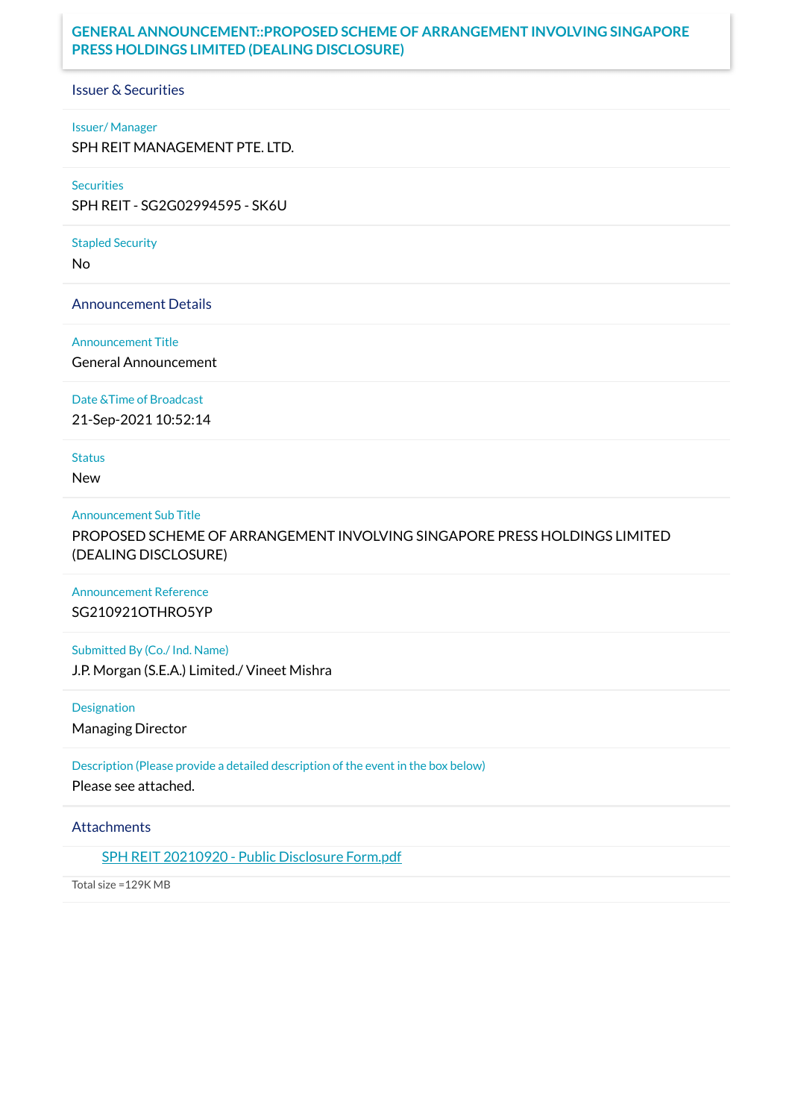#### **GENERAL ANNOUNCEMENT::PROPOSED SCHEME OF ARRANGEMENT INVOLVING SINGAPORE PRESS HOLDINGS LIMITED (DEALING DISCLOSURE)**

Issuer & Securities

#### Issuer/ Manager

SPH REIT MANAGEMENT PTE. LTD.

#### Securities

SPH REIT - SG2G02994595 - SK6U

#### Stapled Security

No

Announcement Details

## Announcement Title

General Announcement

Date &Time of Broadcast

21-Sep-2021 10:52:14

**Status** 

New

#### Announcement Sub Title

PROPOSED SCHEME OF ARRANGEMENT INVOLVING SINGAPORE PRESS HOLDINGS LIMITED (DEALING DISCLOSURE)

Announcement Reference SG210921OTHRO5YP

Submitted By (Co./ Ind. Name) J.P. Morgan (S.E.A.) Limited./ Vineet Mishra

Designation Managing Director

Description (Please provide a detailed description of the event in the box below) Please see attached.

**Attachments** 

SPH REIT [20210920](https://links.sgx.com/1.0.0/corporate-announcements/ZMYUSDNLIG1SD7M9/684073_SPH%20REIT%2020210920%20-%20Public%20Disclosure%20Form.pdf) - Public Disclosure Form.pdf

Total size =129K MB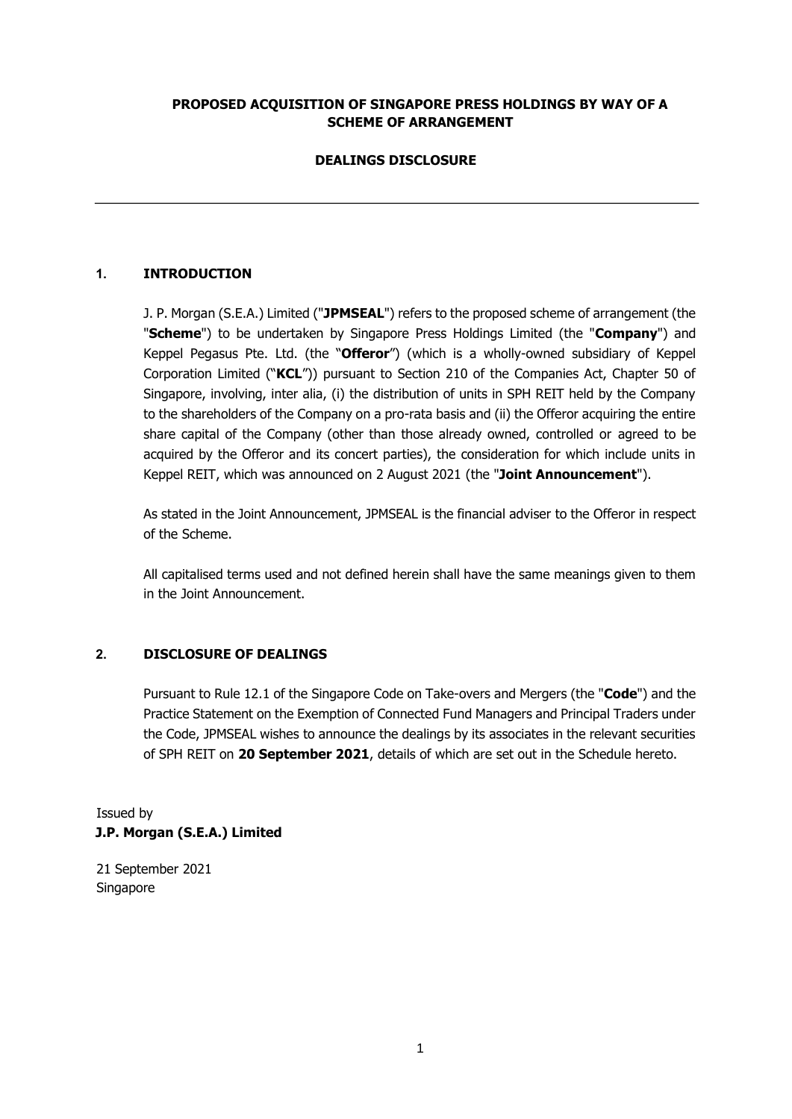#### **PROPOSED ACQUISITION OF SINGAPORE PRESS HOLDINGS BY WAY OF A SCHEME OF ARRANGEMENT**

# **DEALINGS DISCLOSURE**

# **1. INTRODUCTION**

J. P. Morgan (S.E.A.) Limited ("**JPMSEAL**") refers to the proposed scheme of arrangement (the "**Scheme**") to be undertaken by Singapore Press Holdings Limited (the "**Company**") and Keppel Pegasus Pte. Ltd. (the "**Offeror**") (which is a wholly-owned subsidiary of Keppel Corporation Limited ("**KCL**")) pursuant to Section 210 of the Companies Act, Chapter 50 of Singapore, involving, inter alia, (i) the distribution of units in SPH REIT held by the Company to the shareholders of the Company on a pro-rata basis and (ii) the Offeror acquiring the entire share capital of the Company (other than those already owned, controlled or agreed to be acquired by the Offeror and its concert parties), the consideration for which include units in Keppel REIT, which was announced on 2 August 2021 (the "**Joint Announcement**").

As stated in the Joint Announcement, JPMSEAL is the financial adviser to the Offeror in respect of the Scheme.

All capitalised terms used and not defined herein shall have the same meanings given to them in the Joint Announcement.

#### **2. DISCLOSURE OF DEALINGS**

Pursuant to Rule 12.1 of the Singapore Code on Take-overs and Mergers (the "**Code**") and the Practice Statement on the Exemption of Connected Fund Managers and Principal Traders under the Code, JPMSEAL wishes to announce the dealings by its associates in the relevant securities of SPH REIT on **20 September 2021**, details of which are set out in the Schedule hereto.

Issued by **J.P. Morgan (S.E.A.) Limited** 

21 September 2021 Singapore